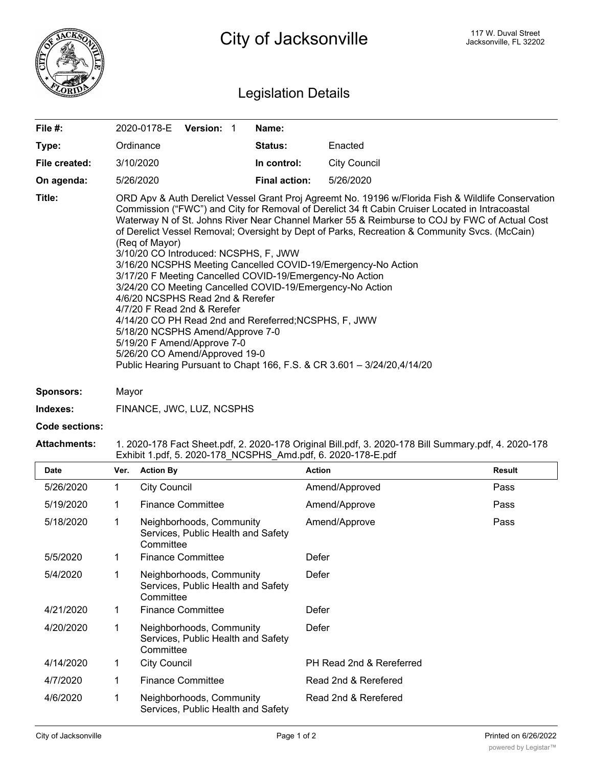

## Legislation Details

| File #:       | 2020-0178-E<br><b>Version:</b>                                                                                                                                                                                                                                                                                                                                                                                                                                                                                                                                                                                                                                                                                                                                                                                                                                                                                                                                           | Name:                |                     |  |
|---------------|--------------------------------------------------------------------------------------------------------------------------------------------------------------------------------------------------------------------------------------------------------------------------------------------------------------------------------------------------------------------------------------------------------------------------------------------------------------------------------------------------------------------------------------------------------------------------------------------------------------------------------------------------------------------------------------------------------------------------------------------------------------------------------------------------------------------------------------------------------------------------------------------------------------------------------------------------------------------------|----------------------|---------------------|--|
| Type:         | Ordinance                                                                                                                                                                                                                                                                                                                                                                                                                                                                                                                                                                                                                                                                                                                                                                                                                                                                                                                                                                | <b>Status:</b>       | Enacted             |  |
| File created: | 3/10/2020                                                                                                                                                                                                                                                                                                                                                                                                                                                                                                                                                                                                                                                                                                                                                                                                                                                                                                                                                                | In control:          | <b>City Council</b> |  |
| On agenda:    | 5/26/2020                                                                                                                                                                                                                                                                                                                                                                                                                                                                                                                                                                                                                                                                                                                                                                                                                                                                                                                                                                | <b>Final action:</b> | 5/26/2020           |  |
| Title:        | ORD Apv & Auth Derelict Vessel Grant Proj Agreemt No. 19196 w/Florida Fish & Wildlife Conservation<br>Commission ("FWC") and City for Removal of Derelict 34 ft Cabin Cruiser Located in Intracoastal<br>Waterway N of St. Johns River Near Channel Marker 55 & Reimburse to COJ by FWC of Actual Cost<br>of Derelict Vessel Removal; Oversight by Dept of Parks, Recreation & Community Svcs. (McCain)<br>(Reg of Mayor)<br>3/10/20 CO Introduced: NCSPHS, F, JWW<br>3/16/20 NCSPHS Meeting Cancelled COVID-19/Emergency-No Action<br>3/17/20 F Meeting Cancelled COVID-19/Emergency-No Action<br>3/24/20 CO Meeting Cancelled COVID-19/Emergency-No Action<br>4/6/20 NCSPHS Read 2nd & Rerefer<br>4/7/20 F Read 2nd & Rerefer<br>4/14/20 CO PH Read 2nd and Rereferred; NCSPHS, F, JWW<br>5/18/20 NCSPHS Amend/Approve 7-0<br>5/19/20 F Amend/Approve 7-0<br>5/26/20 CO Amend/Approved 19-0<br>Public Hearing Pursuant to Chapt 166, F.S. & CR 3.601 - 3/24/20,4/14/20 |                      |                     |  |

**Sponsors:** Mayor

**Indexes:** FINANCE, JWC, LUZ, NCSPHS

**Code sections:**

## **Attachments:** 1. 2020-178 Fact Sheet.pdf, 2. 2020-178 Original Bill.pdf, 3. 2020-178 Bill Summary.pdf, 4. 2020-178 Exhibit 1.pdf, 5. 2020-178\_NCSPHS\_Amd.pdf, 6. 2020-178-E.pdf

| <b>Date</b> | Ver. | <b>Action By</b>                                                            | <b>Action</b>            | Result |
|-------------|------|-----------------------------------------------------------------------------|--------------------------|--------|
| 5/26/2020   | 1    | <b>City Council</b>                                                         | Amend/Approved           | Pass   |
| 5/19/2020   | 1    | <b>Finance Committee</b>                                                    | Amend/Approve            | Pass   |
| 5/18/2020   | 1    | Neighborhoods, Community<br>Services, Public Health and Safety<br>Committee | Amend/Approve            | Pass   |
| 5/5/2020    | 1    | <b>Finance Committee</b>                                                    | Defer                    |        |
| 5/4/2020    | 1    | Neighborhoods, Community<br>Services, Public Health and Safety<br>Committee | Defer                    |        |
| 4/21/2020   | 1    | <b>Finance Committee</b>                                                    | Defer                    |        |
| 4/20/2020   | 1    | Neighborhoods, Community<br>Services, Public Health and Safety<br>Committee | Defer                    |        |
| 4/14/2020   | 1    | <b>City Council</b>                                                         | PH Read 2nd & Rereferred |        |
| 4/7/2020    | 1    | <b>Finance Committee</b>                                                    | Read 2nd & Rerefered     |        |
| 4/6/2020    | 1    | Neighborhoods, Community<br>Services, Public Health and Safety              | Read 2nd & Rerefered     |        |